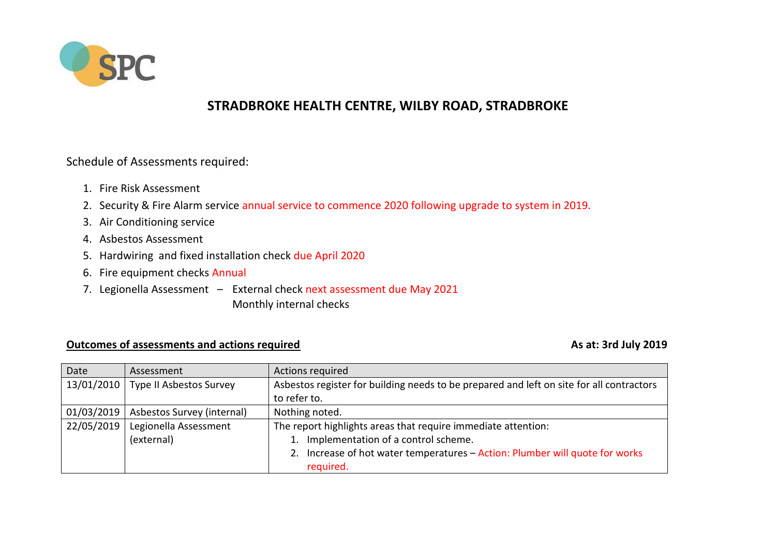

## **STRADBROKE HEALTH CENTRE, WILBY ROAD, STRADBROKE**

Schedule of Assessments required:

- 1. Fire Risk Assessment
- 2. Security & Fire Alarm service annual service to commence 2020 following upgrade to system in 2019*.*
- 3. Air Conditioning service
- 4. Asbestos Assessment
- 5. Hardwiring and fixed installation check due April 2020
- 6. Fire equipment checks Annual
- 7. Legionella Assessment External check next assessment due May 2021 Monthly internal checks

## **Outcomes of assessments and actions required As at: 3rd July 2019** As at: 3rd July 2019

| Date       | Assessment                 | Actions required                                                                         |
|------------|----------------------------|------------------------------------------------------------------------------------------|
| 13/01/2010 | Type II Asbestos Survey    | Asbestos register for building needs to be prepared and left on site for all contractors |
|            |                            | to refer to.                                                                             |
| 01/03/2019 | Asbestos Survey (internal) | Nothing noted.                                                                           |
| 22/05/2019 | Legionella Assessment      | The report highlights areas that require immediate attention:                            |
|            | (external)                 | 1. Implementation of a control scheme.                                                   |
|            |                            | 2. Increase of hot water temperatures - Action: Plumber will quote for works             |
|            |                            | required.                                                                                |